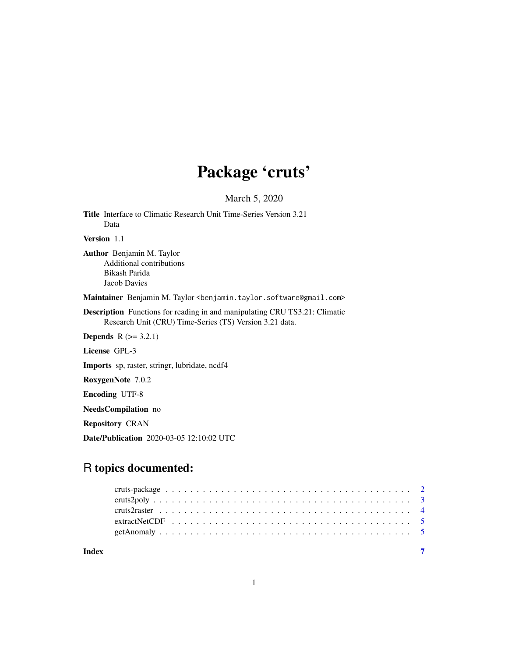## Package 'cruts'

March 5, 2020

Title Interface to Climatic Research Unit Time-Series Version 3.21 Data

Version 1.1

Author Benjamin M. Taylor Additional contributions Bikash Parida Jacob Davies

Maintainer Benjamin M. Taylor <benjamin.taylor.software@gmail.com>

Description Functions for reading in and manipulating CRU TS3.21: Climatic Research Unit (CRU) Time-Series (TS) Version 3.21 data.

**Depends**  $R (= 3.2.1)$ 

License GPL-3

Imports sp, raster, stringr, lubridate, ncdf4

RoxygenNote 7.0.2

Encoding UTF-8

NeedsCompilation no

Repository CRAN

Date/Publication 2020-03-05 12:10:02 UTC

### R topics documented:

| Index |  |  |  |  |  |  |  |  |  |  |  |  |  |  |  |  |  |  |  |  |
|-------|--|--|--|--|--|--|--|--|--|--|--|--|--|--|--|--|--|--|--|--|
|       |  |  |  |  |  |  |  |  |  |  |  |  |  |  |  |  |  |  |  |  |
|       |  |  |  |  |  |  |  |  |  |  |  |  |  |  |  |  |  |  |  |  |
|       |  |  |  |  |  |  |  |  |  |  |  |  |  |  |  |  |  |  |  |  |
|       |  |  |  |  |  |  |  |  |  |  |  |  |  |  |  |  |  |  |  |  |
|       |  |  |  |  |  |  |  |  |  |  |  |  |  |  |  |  |  |  |  |  |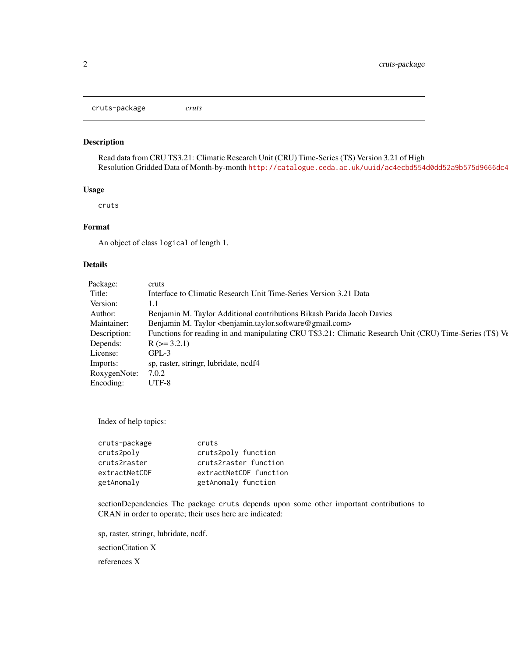<span id="page-1-0"></span>cruts-package *cruts*

#### Description

Read data from CRU TS3.21: Climatic Research Unit (CRU) Time-Series (TS) Version 3.21 of High Resolution Gridded Data of Month-by-month http://catalogue.ceda.ac.uk/uuid/ac4ecbd554d0dd52a9b575d9666dc4

#### Usage

cruts

#### Format

An object of class logical of length 1.

#### Details

| Package:     | cruts                                                                                                  |
|--------------|--------------------------------------------------------------------------------------------------------|
| Title:       | Interface to Climatic Research Unit Time-Series Version 3.21 Data                                      |
| Version:     | 1.1                                                                                                    |
| Author:      | Benjamin M. Taylor Additional contributions Bikash Parida Jacob Davies                                 |
| Maintainer:  | Benjamin M. Taylor<br>benjamin.taylor.software@gmail.com>                                              |
| Description: | Functions for reading in and manipulating CRU TS3.21: Climatic Research Unit (CRU) Time-Series (TS) Ve |
| Depends:     | $R$ ( $>=$ 3.2.1)                                                                                      |
| License:     | $GPL-3$                                                                                                |
| Imports:     | sp, raster, stringr, lubridate, ncdf4                                                                  |
| RoxygenNote: | 7.0.2                                                                                                  |
| Encoding:    | UTF-8                                                                                                  |
|              |                                                                                                        |

Index of help topics:

| cruts-package | cruts                  |
|---------------|------------------------|
| cruts2poly    | cruts2poly function    |
| cruts2raster  | cruts2raster function  |
| extractNetCDF | extractNetCDF function |
| getAnomaly    | getAnomaly function    |

sectionDependencies The package cruts depends upon some other important contributions to CRAN in order to operate; their uses here are indicated:

sp, raster, stringr, lubridate, ncdf.

sectionCitation X

references X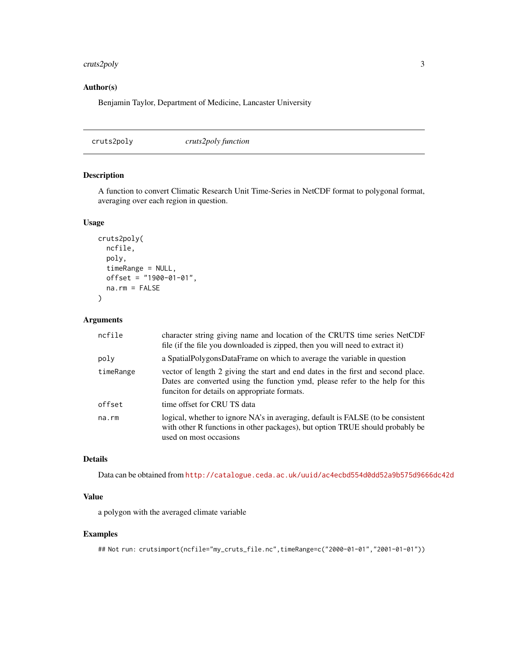#### <span id="page-2-0"></span>cruts2poly 3

#### Author(s)

Benjamin Taylor, Department of Medicine, Lancaster University

cruts2poly *cruts2poly function*

#### Description

A function to convert Climatic Research Unit Time-Series in NetCDF format to polygonal format, averaging over each region in question.

#### Usage

```
cruts2poly(
 ncfile,
 poly,
  timeRange = NULL,
 offset = "1900-01-01",
 na.rm = FALSE
\lambda
```
Arguments

| ncfile    | character string giving name and location of the CRUTS time series NetCDF<br>file (if the file you downloaded is zipped, then you will need to extract it)                                                        |
|-----------|-------------------------------------------------------------------------------------------------------------------------------------------------------------------------------------------------------------------|
| poly      | a SpatialPolygonsDataFrame on which to average the variable in question                                                                                                                                           |
| timeRange | vector of length 2 giving the start and end dates in the first and second place.<br>Dates are converted using the function ymd, please refer to the help for this<br>funciton for details on appropriate formats. |
| offset    | time offset for CRU TS data                                                                                                                                                                                       |
| na.rm     | logical, whether to ignore NA's in averaging, default is FALSE (to be consistent<br>with other R functions in other packages), but option TRUE should probably be<br>used on most occasions                       |

#### Details

Data can be obtained from <http://catalogue.ceda.ac.uk/uuid/ac4ecbd554d0dd52a9b575d9666dc42d>

#### Value

a polygon with the averaged climate variable

#### Examples

```
## Not run: crutsimport(ncfile="my_cruts_file.nc",timeRange=c("2000-01-01","2001-01-01"))
```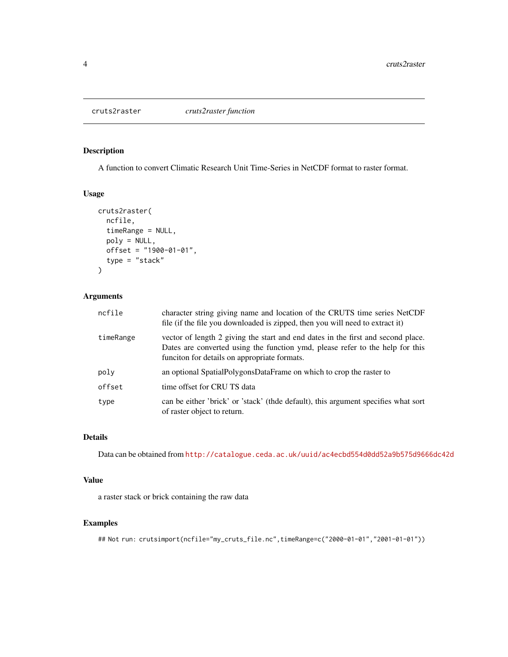<span id="page-3-0"></span>

#### Description

A function to convert Climatic Research Unit Time-Series in NetCDF format to raster format.

#### Usage

```
cruts2raster(
  ncfile,
  timeRange = NULL,
  poly = NULL,
  offset = "1900-01-01",
  type = "stack"
)
```
#### Arguments

| ncfile    | character string giving name and location of the CRUTS time series NetCDF<br>file (if the file you downloaded is zipped, then you will need to extract it)                                                        |
|-----------|-------------------------------------------------------------------------------------------------------------------------------------------------------------------------------------------------------------------|
| timeRange | vector of length 2 giving the start and end dates in the first and second place.<br>Dates are converted using the function ymd, please refer to the help for this<br>funciton for details on appropriate formats. |
| poly      | an optional SpatialPolygonsDataFrame on which to crop the raster to                                                                                                                                               |
| offset    | time offset for CRU TS data                                                                                                                                                                                       |
| type      | can be either 'brick' or 'stack' (thde default), this argument specifies what sort<br>of raster object to return.                                                                                                 |

#### Details

Data can be obtained from <http://catalogue.ceda.ac.uk/uuid/ac4ecbd554d0dd52a9b575d9666dc42d>

#### Value

a raster stack or brick containing the raw data

#### Examples

## Not run: crutsimport(ncfile="my\_cruts\_file.nc",timeRange=c("2000-01-01","2001-01-01"))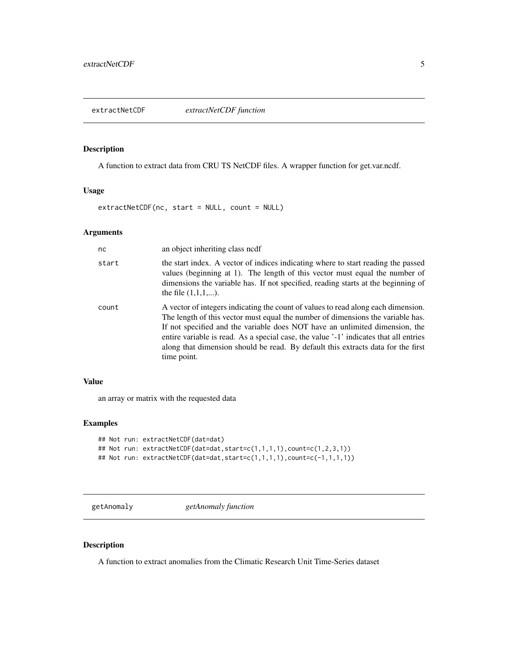<span id="page-4-0"></span>

#### Description

A function to extract data from CRU TS NetCDF files. A wrapper function for get.var.ncdf.

#### Usage

extractNetCDF(nc, start = NULL, count = NULL)

#### Arguments

| nc.   | an object inheriting class nedf                                                                                                                                                                                                                                                                                                                                                                                                                 |
|-------|-------------------------------------------------------------------------------------------------------------------------------------------------------------------------------------------------------------------------------------------------------------------------------------------------------------------------------------------------------------------------------------------------------------------------------------------------|
| start | the start index. A vector of indices indicating where to start reading the passed<br>values (beginning at 1). The length of this vector must equal the number of<br>dimensions the variable has. If not specified, reading starts at the beginning of<br>the file $(1,1,1,)$ .                                                                                                                                                                  |
| count | A vector of integers indicating the count of values to read along each dimension.<br>The length of this vector must equal the number of dimensions the variable has.<br>If not specified and the variable does NOT have an unlimited dimension, the<br>entire variable is read. As a special case, the value '-1' indicates that all entries<br>along that dimension should be read. By default this extracts data for the first<br>time point. |

#### Value

an array or matrix with the requested data

#### Examples

```
## Not run: extractNetCDF(dat=dat)
## Not run: extractNetCDF(dat=dat,start=c(1,1,1,1),count=c(1,2,3,1))
## Not run: extractNetCDF(dat=dat, start=c(1,1,1,1), count=c(-1,1,1,1))
```
getAnomaly *getAnomaly function*

#### Description

A function to extract anomalies from the Climatic Research Unit Time-Series dataset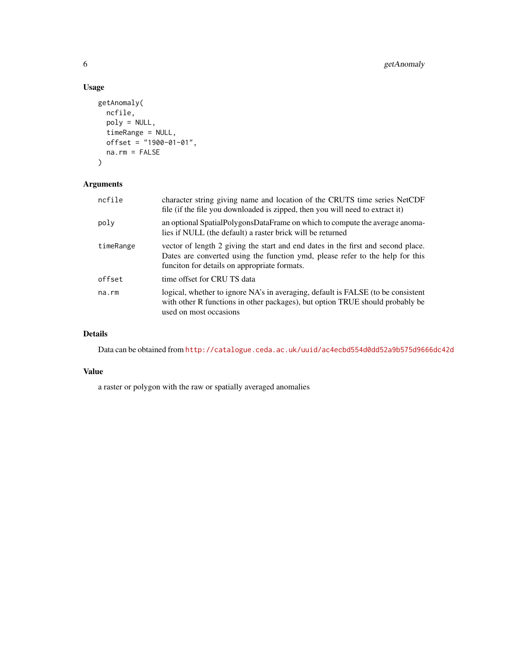#### Usage

```
getAnomaly(
  ncfile,
  poly = NULL,
  timeRange = NULL,
  offset = "1900-01-01",na.rm = FALSE
\mathcal{L}
```
#### Arguments

| ncfile    | character string giving name and location of the CRUTS time series NetCDF<br>file (if the file you downloaded is zipped, then you will need to extract it)                                                        |
|-----------|-------------------------------------------------------------------------------------------------------------------------------------------------------------------------------------------------------------------|
| poly      | an optional SpatialPolygonsDataFrame on which to compute the average anoma-<br>lies if NULL (the default) a raster brick will be returned                                                                         |
| timeRange | vector of length 2 giving the start and end dates in the first and second place.<br>Dates are converted using the function ymd, please refer to the help for this<br>funciton for details on appropriate formats. |
| offset    | time offset for CRU TS data                                                                                                                                                                                       |
| na.rm     | logical, whether to ignore NA's in averaging, default is FALSE (to be consistent<br>with other R functions in other packages), but option TRUE should probably be<br>used on most occasions                       |

#### Details

Data can be obtained from <http://catalogue.ceda.ac.uk/uuid/ac4ecbd554d0dd52a9b575d9666dc42d>

#### Value

a raster or polygon with the raw or spatially averaged anomalies